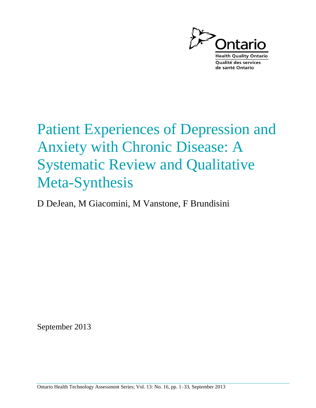

# Patient Experiences of Depression and Anxiety with Chronic Disease: A Systematic Review and Qualitative Meta-Synthesis

D DeJean, M Giacomini, M Vanstone, F Brundisini

September 2013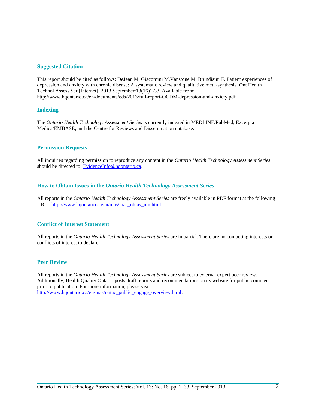#### **Suggested Citation**

This report should be cited as follows: DeJean M, Giacomini M,Vanstone M, Brundisini F. Patient experiences of depression and anxiety with chronic disease: A systematic review and qualitative meta-synthesis. Ont Health Technol Assess Ser [Internet]. 2013 September:13(16)1-33. Available from: http://www.hqontario.ca/en/documents/eds/2013/full-report-OCDM-depression-and-anxiety.pdf.

#### **Indexing**

The *Ontario Health Technology Assessment Series* is currently indexed in MEDLINE/PubMed, Excerpta Medica/EMBASE, and the Centre for Reviews and Dissemination database.

#### **Permission Requests**

All inquiries regarding permission to reproduce any content in the *Ontario Health Technology Assessment Series* should be directed to: [EvidenceInfo@hqontario.ca.](mailto:Evidence_Info@hqontario.ca)

#### **How to Obtain Issues in the** *Ontario Health Technology Assessment Series*

All reports in the *Ontario Health Technology Assessment Series* are freely available in PDF format at the following URL: [http://www.hqontario.ca/en/mas/mas\\_ohtas\\_mn.html](http://www.hqontario.ca/en/mas/mas_ohtas_mn.html).

#### **Conflict of Interest Statement**

All reports in the *Ontario Health Technology Assessment Series* are impartial. There are no competing interests or conflicts of interest to declare.

#### **Peer Review**

All reports in the *Ontario Health Technology Assessment Series* are subject to external expert peer review. Additionally, Health Quality Ontario posts draft reports and recommendations on its website for public comment prior to publication. For more information, please visit: [http://www.hqontario.ca/en/mas/ohtac\\_public\\_engage\\_overview.html.](http://www.hqontario.ca/en/mas/ohtac_public_engage_overview.html)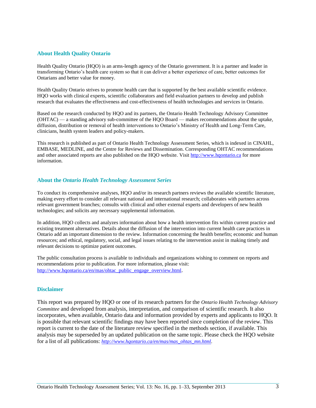#### **About Health Quality Ontario**

Health Quality Ontario (HQO) is an arms-length agency of the Ontario government. It is a partner and leader in transforming Ontario's health care system so that it can deliver a better experience of care, better outcomes for Ontarians and better value for money.

Health Quality Ontario strives to promote health care that is supported by the best available scientific evidence. HQO works with clinical experts, scientific collaborators and field evaluation partners to develop and publish research that evaluates the effectiveness and cost-effectiveness of health technologies and services in Ontario.

Based on the research conducted by HQO and its partners, the Ontario Health Technology Advisory Committee (OHTAC) — a standing advisory sub-committee of the HQO Board — makes recommendations about the uptake, diffusion, distribution or removal of health interventions to Ontario's Ministry of Health and Long-Term Care, clinicians, health system leaders and policy-makers.

This research is published as part of Ontario Health Technology Assessment Series, which is indexed in CINAHL, EMBASE, MEDLINE, and the Centre for Reviews and Dissemination. Corresponding OHTAC recommendations and other associated reports are also published on the HQO website. Visit [http://www.hqontario.ca](http://www.hqontario.ca/) for more information.

#### **About the** *Ontario Health Technology Assessment Series*

To conduct its comprehensive analyses, HQO and/or its research partners reviews the available scientific literature, making every effort to consider all relevant national and international research; collaborates with partners across relevant government branches; consults with clinical and other external experts and developers of new health technologies; and solicits any necessary supplemental information.

In addition, HQO collects and analyzes information about how a health intervention fits within current practice and existing treatment alternatives. Details about the diffusion of the intervention into current health care practices in Ontario add an important dimension to the review. Information concerning the health benefits; economic and human resources; and ethical, regulatory, social, and legal issues relating to the intervention assist in making timely and relevant decisions to optimize patient outcomes.

The public consultation process is available to individuals and organizations wishing to comment on reports and recommendations prior to publication. For more information, please visit: [http://www.hqontario.ca/en/mas/ohtac\\_public\\_engage\\_overview.html](http://www.hqontario.ca/en/mas/ohtac_public_engage_overview.html).

#### **Disclaimer**

This report was prepared by HQO or one of its research partners for the *Ontario Health Technology Advisory Committee* and developed from analysis, interpretation, and comparison of scientific research. It also incorporates, when available, Ontario data and information provided by experts and applicants to HQO. It is possible that relevant scientific findings may have been reported since completion of the review. This report is current to the date of the literature review specified in the methods section, if available. This analysis may be superseded by an updated publication on the same topic. Please check the HQO website for a list of all publications:  $http://www.hqontario.ca/en/mas/mas_ohtas_mm.html$ .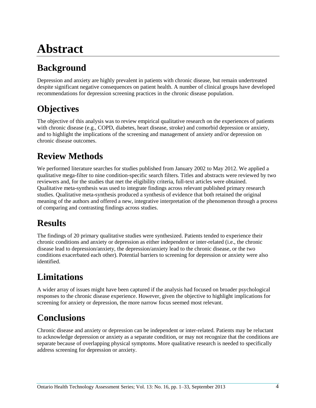# **Abstract**

# **Background**

Depression and anxiety are highly prevalent in patients with chronic disease, but remain undertreated despite significant negative consequences on patient health. A number of clinical groups have developed recommendations for depression screening practices in the chronic disease population.

## **Objectives**

The objective of this analysis was to review empirical qualitative research on the experiences of patients with chronic disease (e.g., COPD, diabetes, heart disease, stroke) and comorbid depression or anxiety, and to highlight the implications of the screening and management of anxiety and/or depression on chronic disease outcomes.

## **Review Methods**

We performed literature searches for studies published from January 2002 to May 2012. We applied a qualitative mega-filter to nine condition-specific search filters. Titles and abstracts were reviewed by two reviewers and, for the studies that met the eligibility criteria, full-text articles were obtained. Qualitative meta-synthesis was used to integrate findings across relevant published primary research studies. Qualitative meta-synthesis produced a synthesis of evidence that both retained the original meaning of the authors and offered a new, integrative interpretation of the phenomenon through a process of comparing and contrasting findings across studies.

# **Results**

The findings of 20 primary qualitative studies were synthesized. Patients tended to experience their chronic conditions and anxiety or depression as either independent or inter-related (i.e., the chronic disease lead to depression/anxiety, the depression/anxiety lead to the chronic disease, or the two conditions exacerbated each other). Potential barriers to screening for depression or anxiety were also identified.

# **Limitations**

A wider array of issues might have been captured if the analysis had focused on broader psychological responses to the chronic disease experience. However, given the objective to highlight implications for screening for anxiety or depression, the more narrow focus seemed most relevant.

## **Conclusions**

Chronic disease and anxiety or depression can be independent or inter-related. Patients may be reluctant to acknowledge depression or anxiety as a separate condition, or may not recognize that the conditions are separate because of overlapping physical symptoms. More qualitative research is needed to specifically address screening for depression or anxiety.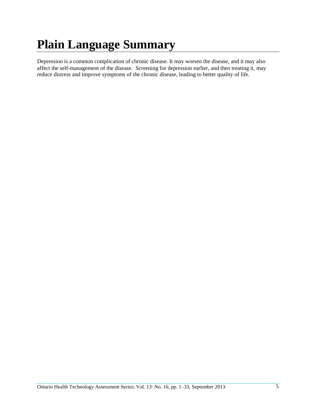# **Plain Language Summary**

Depression is a common complication of chronic disease. It may worsen the disease, and it may also affect the self-management of the disease. Screening for depression earlier, and then treating it, may reduce distress and improve symptoms of the chronic disease, leading to better quality of life.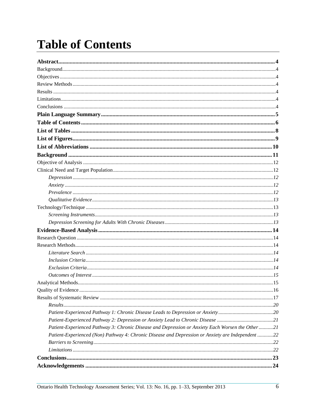# **Table of Contents**

| Patient-Experienced Pathway 3: Chronic Disease and Depression or Anxiety Each Worsen the Other21  |  |
|---------------------------------------------------------------------------------------------------|--|
| Patient-Experienced (Non) Pathway 4: Chronic Disease and Depression or Anxiety are Independent 22 |  |
|                                                                                                   |  |
|                                                                                                   |  |
|                                                                                                   |  |
|                                                                                                   |  |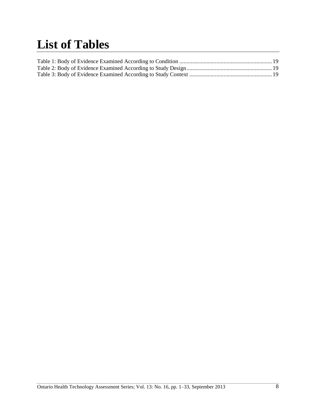# **List of Tables**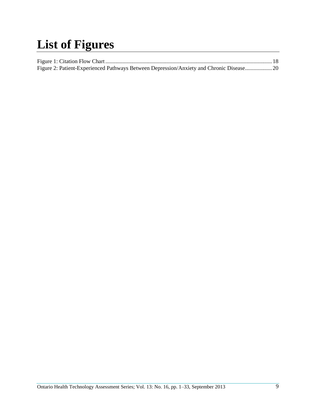# **List of Figures**

| Figure 2: Patient-Experienced Pathways Between Depression/Anxiety and Chronic Disease 20 |  |
|------------------------------------------------------------------------------------------|--|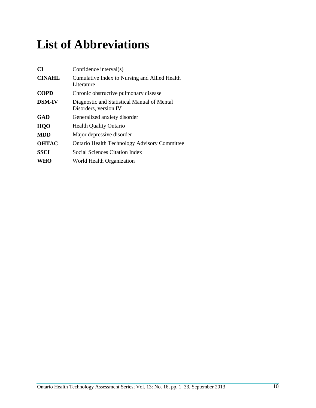# **List of Abbreviations**

| <b>CI</b>     | Confidence interval(s)                                               |
|---------------|----------------------------------------------------------------------|
| <b>CINAHL</b> | Cumulative Index to Nursing and Allied Health<br>Literature          |
| <b>COPD</b>   | Chronic obstructive pulmonary disease                                |
| <b>DSM-IV</b> | Diagnostic and Statistical Manual of Mental<br>Disorders, version IV |
| GAD           | Generalized anxiety disorder                                         |
| HQO           | <b>Health Quality Ontario</b>                                        |
| <b>MDD</b>    | Major depressive disorder                                            |
| <b>OHTAC</b>  | <b>Ontario Health Technology Advisory Committee</b>                  |
| <b>SSCI</b>   | Social Sciences Citation Index                                       |
| WHO           | World Health Organization                                            |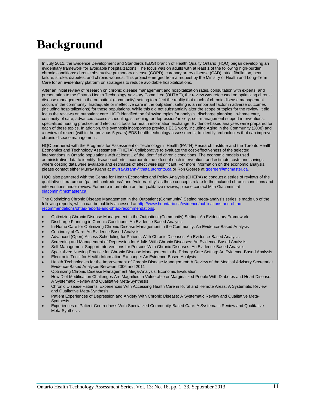# **Background**

In July 2011, the Evidence Development and Standards (EDS) branch of Health Quality Ontario (HQO) began developing an evidentiary framework for avoidable hospitalizations. The focus was on adults with at least 1 of the following high-burden chronic conditions: chronic obstructive pulmonary disease (COPD), coronary artery disease (CAD), atrial fibrillation, heart failure, stroke, diabetes, and chronic wounds. This project emerged from a request by the Ministry of Health and Long-Term Care for an evidentiary platform on strategies to reduce avoidable hospitalizations.

After an initial review of research on chronic disease management and hospitalization rates, consultation with experts, and presentation to the Ontario Health Technology Advisory Committee (OHTAC), the review was refocused on optimizing chronic disease management in the outpatient (community) setting to reflect the reality that much of chronic disease management occurs in the community. Inadequate or ineffective care in the outpatient setting is an important factor in adverse outcomes (including hospitalizations) for these populations. While this did not substantially alter the scope or topics for the review, it did focus the reviews on outpatient care. HQO identified the following topics for analysis: discharge planning, in-home care, continuity of care, advanced access scheduling, screening for depression/anxiety, self-management support interventions, specialized nursing practice, and electronic tools for health information exchange. Evidence-based analyses were prepared for each of these topics. In addition, this synthesis incorporates previous EDS work, including Aging in the Community (2008) and a review of recent (within the previous 5 years) EDS health technology assessments, to identify technologies that can improve chronic disease management.

HQO partnered with the Programs for Assessment of Technology in Health (PATH) Research Institute and the Toronto Health Economics and Technology Assessment (THETA) Collaborative to evaluate the cost-effectiveness of the selected interventions in Ontario populations with at least 1 of the identified chronic conditions. The economic models used administrative data to identify disease cohorts, incorporate the effect of each intervention, and estimate costs and savings where costing data were available and estimates of effect were significant. For more information on the economic analysis, please contact either Murray Krahn at [murray.krahn@theta.utoronto.ca](mailto:murray.krahn@theta.utoronto.ca) or Ron Goeree a[t goereer@mcmaster.ca.](mailto:goereer@mcmaster.ca)

HQO also partnered with the Centre for Health Economics and Policy Analysis (CHEPA) to conduct a series of reviews of the qualitative literature on "patient centredness" and "vulnerability" as these concepts relate to the included chronic conditions and interventions under review. For more information on the qualitative reviews, please contact Mita Giacomini at [giacomin@mcmaster.ca.](mailto:giacomin@mcmaster.ca)

The Optimizing Chronic Disease Management in the Outpatient (Community) Setting mega-analysis series is made up of the following reports, which can be publicly accessed a[t http://www.hqontario.ca/evidence/publications-and-ohtac](http://www.hqontario.ca/evidence/publications-and-ohtac-recommendations/ohtas-reports-and-ohtac-recommendations)[recommendations/ohtas-reports-and-ohtac-recommendations](http://www.hqontario.ca/evidence/publications-and-ohtac-recommendations/ohtas-reports-and-ohtac-recommendations).

- Optimizing Chronic Disease Management in the Outpatient (Community) Setting: An Evidentiary Framework
- Discharge Planning in Chronic Conditions: An Evidence-Based Analysis
- In-Home Care for Optimizing Chronic Disease Management in the Community: An Evidence-Based Analysis
- Continuity of Care: An Evidence-Based Analysis
- Advanced (Open) Access Scheduling for Patients With Chronic Diseases: An Evidence-Based Analysis
- Screening and Management of Depression for Adults With Chronic Diseases: An Evidence-Based Analysis
- Self-Management Support Interventions for Persons With Chronic Diseases: An Evidence-Based Analysis
- Specialized Nursing Practice for Chronic Disease Management in the Primary Care Setting: An Evidence-Based Analysis Electronic Tools for Health Information Exchange: An Evidence-Based Analysis
- Health Technologies for the Improvement of Chronic Disease Management: A Review of the Medical Advisory Secretariat Evidence-Based Analyses Between 2006 and 2011
- Optimizing Chronic Disease Management Mega-Analysis: Economic Evaluation
- How Diet Modification Challenges Are Magnified in Vulnerable or Marginalized People With Diabetes and Heart Disease: A Systematic Review and Qualitative Meta-Synthesis
- Chronic Disease Patients' Experiences With Accessing Health Care in Rural and Remote Areas: A Systematic Review and Qualitative Meta-Synthesis
- Patient Experiences of Depression and Anxiety With Chronic Disease: A Systematic Review and Qualitative Meta-**Synthesis**
- Experiences of Patient-Centredness With Specialized Community-Based Care: A Systematic Review and Qualitative Meta-Synthesis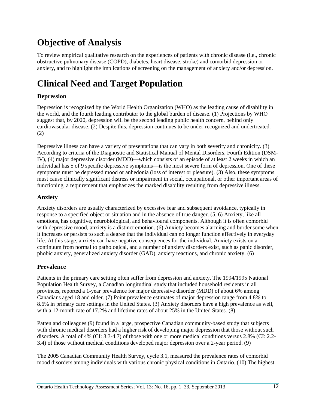## **Objective of Analysis**

To review empirical qualitative research on the experiences of patients with chronic disease (i.e., chronic obstructive pulmonary disease (COPD), diabetes, heart disease, stroke) and comorbid depression or anxiety, and to highlight the implications of screening on the management of anxiety and/or depression.

# **Clinical Need and Target Population**

### **Depression**

Depression is recognized by the World Health Organization (WHO) as the leading cause of disability in the world, and the fourth leading contributor to the global burden of disease. [\(1\)](#page-29-0) Projections by WHO suggest that, by 2020, depression will be the second leading public health concern, behind only cardiovascular disease. [\(2\)](#page-29-1) Despite this, depression continues to be under-recognized and undertreated. [\(2\)](#page-29-1)

Depressive illness can have a variety of presentations that can vary in both severity and chronicity. [\(3\)](#page-29-2) According to criteria of the Diagnostic and Statistical Manual of Mental Disorders, Fourth Edition (DSM-IV), [\(4\)](#page-29-3) major depressive disorder (MDD)—which consists of an episode of at least 2 weeks in which an individual has 5 of 9 specific depressive symptoms—is the most severe form of depression. One of these symptoms must be depressed mood or anhedonia (loss of interest or pleasure). [\(3\)](#page-29-2) Also, these symptoms must cause clinically significant distress or impairment in social, occupational, or other important areas of functioning, a requirement that emphasizes the marked disability resulting from depressive illness.

### **Anxiety**

Anxiety disorders are usually characterized by excessive fear and subsequent avoidance, typically in response to a specified object or situation and in the absence of true danger. [\(5,](#page-29-4) [6\)](#page-29-5) Anxiety, like all emotions, has cognitive, neurobiological, and behavioural components. Although it is often comorbid with depressive mood, anxiety is a distinct emotion. [\(6\)](#page-29-5) Anxiety becomes alarming and burdensome when it increases or persists to such a degree that the individual can no longer function effectively in everyday life. At this stage, anxiety can have negative consequences for the individual. Anxiety exists on a continuum from normal to pathological, and a number of anxiety disorders exist, such as panic disorder, phobic anxiety, generalized anxiety disorder (GAD), anxiety reactions, and chronic anxiety. [\(6\)](#page-29-5)

### **Prevalence**

Patients in the primary care setting often suffer from depression and anxiety. The 1994/1995 National Population Health Survey, a Canadian longitudinal study that included household residents in all provinces, reported a 1-year prevalence for major depressive disorder (MDD) of about 6% among Canadians aged 18 and older. [\(7\)](#page-29-6) Point prevalence estimates of major depression range from 4.8% to 8.6% in primary care settings in the United States. [\(3\)](#page-29-2) Anxiety disorders have a high prevalence as well, with a 12-month rate of 17.2% and lifetime rates of about 25% in the United States. [\(8\)](#page-29-7)

Patten and colleagues [\(9\)](#page-29-8) found in a large, prospective Canadian community-based study that subjects with chronic medical disorders had a higher risk of developing major depression that those without such disorders. A total of 4% (CI: 3.3-4.7) of those with one or more medical conditions versus 2.8% (CI: 2.2- 3.4) of those without medical conditions developed major depression over a 2-year period. [\(9\)](#page-29-8)

The 2005 Canadian Community Health Survey, cycle 3.1, measured the prevalence rates of comorbid mood disorders among individuals with various chronic physical conditions in Ontario. [\(10\)](#page-29-9) The highest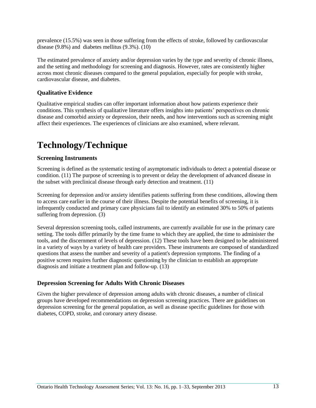prevalence (15.5%) was seen in those suffering from the effects of stroke, followed by cardiovascular disease (9.8%) and diabetes mellitus (9.3%). [\(10\)](#page-29-9)

The estimated prevalence of anxiety and/or depression varies by the type and severity of chronic illness, and the setting and methodology for screening and diagnosis. However, rates are consistently higher across most chronic diseases compared to the general population, especially for people with stroke, cardiovascular disease, and diabetes.

### **Qualitative Evidence**

Qualitative empirical studies can offer important information about how patients experience their conditions. This synthesis of qualitative literature offers insights into patients' perspectives on chronic disease and comorbid anxiety or depression, their needs, and how interventions such as screening might affect their experiences. The experiences of clinicians are also examined, where relevant.

## **Technology/Technique**

### **Screening Instruments**

Screening is defined as the systematic testing of asymptomatic individuals to detect a potential disease or condition. [\(11\)](#page-29-10) The purpose of screening is to prevent or delay the development of advanced disease in the subset with preclinical disease through early detection and treatment. [\(11\)](#page-29-10)

Screening for depression and/or anxiety identifies patients suffering from these conditions, allowing them to access care earlier in the course of their illness. Despite the potential benefits of screening, it is infrequently conducted and primary care physicians fail to identify an estimated 30% to 50% of patients suffering from depression. [\(3\)](#page-29-2)

Several depression screening tools, called instruments, are currently available for use in the primary care setting. The tools differ primarily by the time frame to which they are applied, the time to administer the tools, and the discernment of levels of depression. [\(12\)](#page-29-11) These tools have been designed to be administered in a variety of ways by a variety of health care providers. These instruments are composed of standardized questions that assess the number and severity of a patient's depression symptoms. The finding of a positive screen requires further diagnostic questioning by the clinician to establish an appropriate diagnosis and initiate a treatment plan and follow-up. [\(13\)](#page-29-12)

### **Depression Screening for Adults With Chronic Diseases**

Given the higher prevalence of depression among adults with chronic diseases, a number of clinical groups have developed recommendations on depression screening practices. There are guidelines on depression screening for the general population, as well as disease specific guidelines for those with diabetes, COPD, stroke, and coronary artery disease.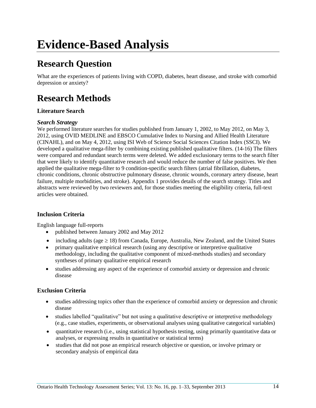# **Research Question**

What are the experiences of patients living with COPD, diabetes, heart disease, and stroke with comorbid depression or anxiety?

## **Research Methods**

### **Literature Search**

### *Search Strategy*

We performed literature searches for studies published from January 1, 2002, to May 2012, on May 3, 2012, using OVID MEDLINE and EBSCO Cumulative Index to Nursing and Allied Health Literature (CINAHL), and on May 4, 2012, using ISI Web of Science Social Sciences Citation Index (SSCI). We developed a qualitative mega-filter by combining existing published qualitative filters. [\(14-16\)](#page-29-13) The filters were compared and redundant search terms were deleted. We added exclusionary terms to the search filter that were likely to identify quantitative research and would reduce the number of false positives. We then applied the qualitative mega-filter to 9 condition-specific search filters (atrial fibrillation, diabetes, chronic conditions, chronic obstructive pulmonary disease, chronic wounds, coronary artery disease, heart failure, multiple morbidities, and stroke). Appendix 1 provides details of the search strategy. Titles and abstracts were reviewed by two reviewers and, for those studies meeting the eligibility criteria, full-text articles were obtained.

### **Inclusion Criteria**

English language full-reports

- published between January 2002 and May 2012
- including adults (age  $\geq 18$ ) from Canada, Europe, Australia, New Zealand, and the United States
- primary qualitative empirical research (using any descriptive or interpretive qualitative methodology, including the qualitative component of mixed-methods studies) and secondary syntheses of primary qualitative empirical research
- studies addressing any aspect of the experience of comorbid anxiety or depression and chronic disease

### **Exclusion Criteria**

- studies addressing topics other than the experience of comorbid anxiety or depression and chronic disease
- studies labelled "qualitative" but not using a qualitative descriptive or interpretive methodology (e.g., case studies, experiments, or observational analyses using qualitative categorical variables)
- quantitative research (i.e., using statistical hypothesis testing, using primarily quantitative data or analyses, or expressing results in quantitative or statistical terms)
- studies that did not pose an empirical research objective or question, or involve primary or secondary analysis of empirical data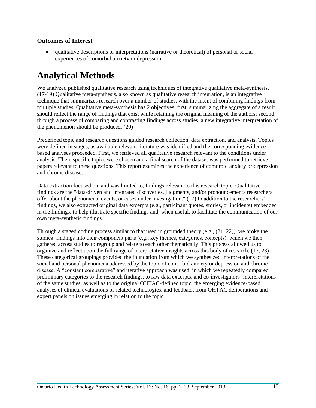### **Outcomes of Interest**

 qualitative descriptions or interpretations (narrative or theoretical) of personal or social experiences of comorbid anxiety or depression.

## **Analytical Methods**

We analyzed published qualitative research using techniques of integrative qualitative meta-synthesis. [\(17-19\)](#page-30-0) Qualitative meta-synthesis, also known as qualitative research integration, is an integrative technique that summarizes research over a number of studies, with the intent of combining findings from multiple studies. Qualitative meta-synthesis has 2 objectives: first, summarizing the aggregate of a result should reflect the range of findings that exist while retaining the original meaning of the authors; second, through a process of comparing and contrasting findings across studies, a new integrative interpretation of the phenomenon should be produced. [\(20\)](#page-30-1)

Predefined topic and research questions guided research collection, data extraction, and analysis. Topics were defined in stages, as available relevant literature was identified and the corresponding evidencebased analyses proceeded. First, we retrieved all qualitative research relevant to the conditions under analysis. Then, specific topics were chosen and a final search of the dataset was performed to retrieve papers relevant to these questions. This report examines the experience of comorbid anxiety or depression and chronic disease.

Data extraction focused on, and was limited to, findings relevant to this research topic. Qualitative findings are the "data-driven and integrated discoveries, judgments, and/or pronouncements researchers offer about the phenomena, events, or cases under investigation." [\(17\)](#page-30-0) In addition to the researchers' findings, we also extracted original data excerpts (e.g., participant quotes, stories, or incidents) embedded in the findings, to help illustrate specific findings and, when useful, to facilitate the communication of our own meta-synthetic findings.

Through a staged coding process similar to that used in grounded theory (e.g., [\(21,](#page-30-2) [22\)](#page-30-3)), we broke the studies' findings into their component parts (e.g., key themes, categories, concepts), which we then gathered across studies to regroup and relate to each other thematically. This process allowed us to organize and reflect upon the full range of interpretative insights across this body of research. [\(17,](#page-30-0) [23\)](#page-30-4) These categorical groupings provided the foundation from which we synthesized interpretations of the social and personal phenomena addressed by the topic of comorbid anxiety or depression and chronic disease. A "constant comparative" and iterative approach was used, in which we repeatedly compared preliminary categories to the research findings, to raw data excerpts, and co-investigators' interpretations of the same studies, as well as to the original OHTAC-defined topic, the emerging evidence-based analyses of clinical evaluations of related technologies, and feedback from OHTAC deliberations and expert panels on issues emerging in relation to the topic.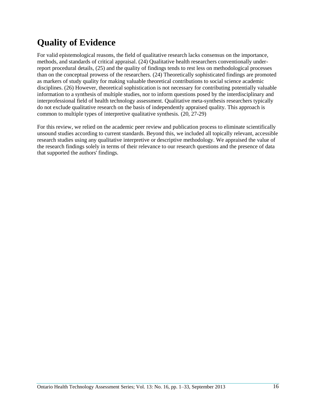## **Quality of Evidence**

For valid epistemological reasons, the field of qualitative research lacks consensus on the importance, methods, and standards of critical appraisal. [\(24\)](#page-30-5) Qualitative health researchers conventionally underreport procedural details, [\(25\)](#page-30-6) and the quality of findings tends to rest less on methodological processes than on the conceptual prowess of the researchers. [\(24\)](#page-30-5) Theoretically sophisticated findings are promoted as markers of study quality for making valuable theoretical contributions to social science academic disciplines. [\(26\)](#page-30-7) However, theoretical sophistication is not necessary for contributing potentially valuable information to a synthesis of multiple studies, nor to inform questions posed by the interdisciplinary and interprofessional field of health technology assessment. Qualitative meta-synthesis researchers typically do not exclude qualitative research on the basis of independently appraised quality. This approach is common to multiple types of interpretive qualitative synthesis. [\(20,](#page-30-1) [27-29\)](#page-30-8)

For this review, we relied on the academic peer review and publication process to eliminate scientifically unsound studies according to current standards. Beyond this, we included all topically relevant, accessible research studies using any qualitative interpretive or descriptive methodology. We appraised the value of the research findings solely in terms of their relevance to our research questions and the presence of data that supported the authors' findings.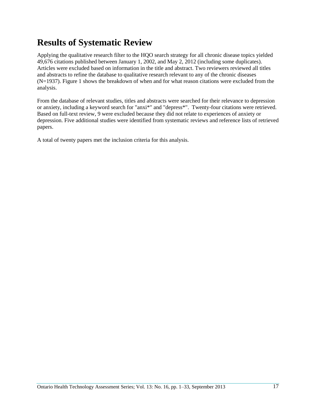## **Results of Systematic Review**

Applying the qualitative research filter to the HQO search strategy for all chronic disease topics yielded 49,676 citations published between January 1, 2002, and May 2, 2012 (including some duplicates). Articles were excluded based on information in the title and abstract. Two reviewers reviewed all titles and abstracts to refine the database to qualitative research relevant to any of the chronic diseases (N=1937). Figure 1 shows the breakdown of when and for what reason citations were excluded from the analysis.

From the database of relevant studies, titles and abstracts were searched for their relevance to depression or anxiety, including a keyword search for "anxi\*" and "depress\*". Twenty-four citations were retrieved. Based on full-text review, 9 were excluded because they did not relate to experiences of anxiety or depression. Five additional studies were identified from systematic reviews and reference lists of retrieved papers.

A total of twenty papers met the inclusion criteria for this analysis.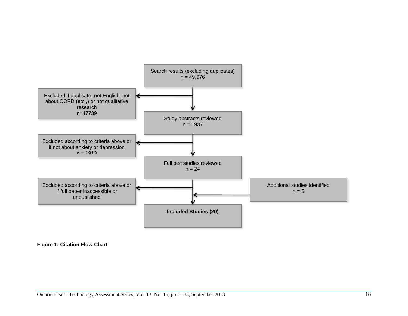

**Figure 1: Citation Flow Chart**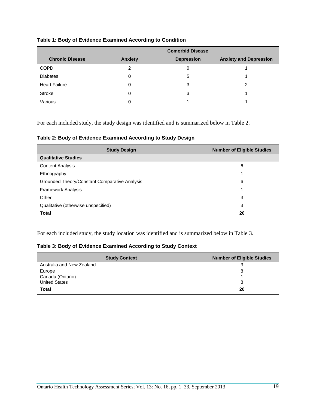| Table 1: Body of Evidence Examined According to Condition |  |  |  |  |  |
|-----------------------------------------------------------|--|--|--|--|--|
|-----------------------------------------------------------|--|--|--|--|--|

|                        | <b>Comorbid Disease</b> |                   |                               |
|------------------------|-------------------------|-------------------|-------------------------------|
| <b>Chronic Disease</b> | <b>Anxiety</b>          | <b>Depression</b> | <b>Anxiety and Depression</b> |
| <b>COPD</b>            | っ                       | 0                 |                               |
| <b>Diabetes</b>        | 0                       | 5                 |                               |
| <b>Heart Failure</b>   | 0                       | 3                 |                               |
| Stroke                 | 0                       | 3                 |                               |
| Various                | 0                       |                   |                               |

For each included study, the study design was identified and is summarized below in Table 2.

| <b>Study Design</b>                           | <b>Number of Eligible Studies</b> |
|-----------------------------------------------|-----------------------------------|
| <b>Qualitative Studies</b>                    |                                   |
| <b>Content Analysis</b>                       | 6                                 |
| Ethnography                                   | 1                                 |
| Grounded Theory/Constant Comparative Analysis | 6                                 |
| <b>Framework Analysis</b>                     | 1                                 |
| Other                                         | 3                                 |
| Qualitative (otherwise unspecified)           | 3                                 |
| <b>Total</b>                                  | 20                                |

For each included study, the study location was identified and is summarized below in Table 3.

### **Table 3: Body of Evidence Examined According to Study Context**

| <b>Study Context</b>      | <b>Number of Eligible Studies</b> |
|---------------------------|-----------------------------------|
| Australia and New Zealand | 3                                 |
| Europe                    | 8                                 |
| Canada (Ontario)          |                                   |
| <b>United States</b>      | 8                                 |
| <b>Total</b>              | 20                                |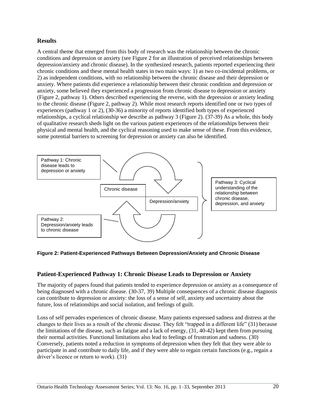### **Results**

A central theme that emerged from this body of research was the relationship between the chronic conditions and depression or anxiety (see Figure 2 for an illustration of perceived relationships between depression/anxiety and chronic disease). In the synthesized research, patients reported experiencing their chronic conditions and these mental health states in two main ways: 1) as two co-incidental problems, or 2) as independent conditions, with no relationship between the chronic disease and their depression or anxiety. Where patients did experience a relationship between their chronic condition and depression or anxiety, some believed they experienced a progression from chronic disease to depression or anxiety (Figure 2, pathway 1). Others described experiencing the reverse, with the depression or anxiety leading to the chronic disease (Figure 2, pathway 2). While most research reports identified one or two types of experiences (pathway 1 or 2), [\(30-36\)](#page-30-9) a minority of reports identified both types of experienced relationships, a cyclical relationship we describe as pathway 3 (Figure 2). [\(37-39\)](#page-31-0) As a whole, this body of qualitative research sheds light on the various patient experiences of the relationships between their physical and mental health, and the cyclical reasoning used to make sense of these. From this evidence, some potential barriers to screening for depression or anxiety can also be identified.



#### **Figure 2: Patient-Experienced Pathways Between Depression/Anxiety and Chronic Disease**

### **Patient-Experienced Pathway 1: Chronic Disease Leads to Depression or Anxiety**

The majority of papers found that patients tended to experience depression or anxiety as a consequence of being diagnosed with a chronic disease. [\(30-37,](#page-30-9) [39\)](#page-31-1) Multiple consequences of a chronic disease diagnosis can contribute to depression or anxiety: the loss of a sense of self, anxiety and uncertainty about the future, loss of relationships and social isolation, and feelings of guilt.

Loss of self pervades experiences of chronic disease. Many patients expressed sadness and distress at the changes to their lives as a result of the chronic disease. They felt "trapped in a different life" [\(31\)](#page-30-10) because the limitations of the disease, such as fatigue and a lack of energy, [\(31,](#page-30-10) [40-42\)](#page-31-2) kept them from pursuing their normal activities. Functional limitations also lead to feelings of frustration and sadness. [\(30\)](#page-30-9) Conversely, patients noted a reduction in symptoms of depression when they felt that they were able to participate in and contribute to daily life, and if they were able to regain certain functions (e.g., regain a driver's licence or return to work). [\(31\)](#page-30-10)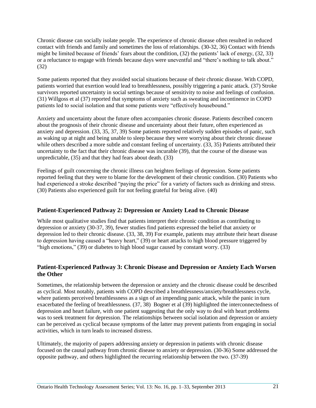Chronic disease can socially isolate people. The experience of chronic disease often resulted in reduced contact with friends and family and sometimes the loss of relationships. [\(30-32,](#page-30-9) [36\)](#page-31-3) Contact with friends might be limited because of friends' fears about the condition, [\(32\)](#page-31-4) the patients' lack of energy, [\(32,](#page-31-4) [33\)](#page-31-5) or a reluctance to engage with friends because days were uneventful and "there's nothing to talk about." [\(32\)](#page-31-4)

Some patients reported that they avoided social situations because of their chronic disease. With COPD, patients worried that exertion would lead to breathlessness, possibly triggering a panic attack. [\(37\)](#page-31-0) Stroke survivors reported uncertainty in social settings because of sensitivity to noise and feelings of confusion. [\(31\)](#page-30-10) Willgoss et al [\(37\)](#page-31-0) reported that symptoms of anxiety such as sweating and incontinence in COPD patients led to social isolation and that some patients were "effectively housebound."

Anxiety and uncertainty about the future often accompanies chronic disease. Patients described concern about the prognosis of their chronic disease and uncertainty about their future, often experienced as anxiety and depression. [\(33,](#page-31-5) [35,](#page-31-6) [37,](#page-31-0) [39\)](#page-31-1) Some patients reported relatively sudden episodes of panic, such as waking up at night and being unable to sleep because they were worrying about their chronic disease while others described a more subtle and constant feeling of uncertainty. [\(33,](#page-31-5) [35\)](#page-31-6) Patients attributed their uncertainty to the fact that their chronic disease was incurable [\(39\)](#page-31-1), that the course of the disease was unpredictable, [\(35\)](#page-31-6) and that they had fears about death. [\(33\)](#page-31-5)

Feelings of guilt concerning the chronic illness can heighten feelings of depression. Some patients reported feeling that they were to blame for the development of their chronic condition. [\(30\)](#page-30-9) Patients who had experienced a stroke described "paying the price" for a variety of factors such as drinking and stress. [\(30\)](#page-30-9) Patients also experienced guilt for not feeling grateful for being alive. [\(40\)](#page-31-2)

### **Patient-Experienced Pathway 2: Depression or Anxiety Lead to Chronic Disease**

While most qualitative studies find that patients interpret their chronic condition as contributing to depression or anxiety [\(30-37,](#page-30-9) [39\)](#page-31-1), fewer studies find patients expressed the belief that anxiety or depression led to their chronic disease. [\(33,](#page-31-5) [38,](#page-31-7) [39\)](#page-31-1) For example, patients may attribute their heart disease to depression having caused a "heavy heart," [\(39\)](#page-31-1) or heart attacks to high blood pressure triggered by "high emotions," [\(39\)](#page-31-1) or diabetes to high blood sugar caused by constant worry. [\(33\)](#page-31-5)

### **Patient-Experienced Pathway 3: Chronic Disease and Depression or Anxiety Each Worsen the Other**

Sometimes, the relationship between the depression or anxiety and the chronic disease could be described as cyclical. Most notably, patients with COPD described a breathlessness/anxiety/breathlessness cycle, where patients perceived breathlessness as a sign of an impending panic attack, while the panic in turn exacerbated the feeling of breathlessness. [\(37,](#page-31-0) [38\)](#page-31-7) Bogner et al [\(39\)](#page-31-1) highlighted the interconnectedness of depression and heart failure, with one patient suggesting that the only way to deal with heart problems was to seek treatment for depression. The relationships between social isolation and depression or anxiety can be perceived as cyclical because symptoms of the latter may prevent patients from engaging in social activities, which in turn leads to increased distress.

Ultimately, the majority of papers addressing anxiety or depression in patients with chronic disease focused on the causal pathway from chronic disease to anxiety or depression. [\(30-36\)](#page-30-9) Some addressed the opposite pathway, and others highlighted the recurring relationship between the two. [\(37-39\)](#page-31-0)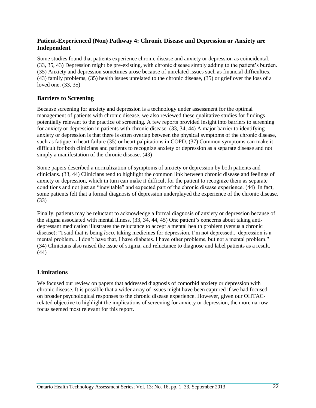### **Patient-Experienced (Non) Pathway 4: Chronic Disease and Depression or Anxiety are Independent**

Some studies found that patients experience chronic disease and anxiety or depression as coincidental. [\(33,](#page-31-5) [35,](#page-31-6) [43\)](#page-31-8) Depression might be pre-existing, with chronic disease simply adding to the patient's burden. [\(35\)](#page-31-6) Anxiety and depression sometimes arose because of unrelated issues such as financial difficulties, [\(43\)](#page-31-8) family problems, [\(35\)](#page-31-6) health issues unrelated to the chronic disease, [\(35\)](#page-31-6) or grief over the loss of a loved one. [\(33,](#page-31-5) [35\)](#page-31-6)

### **Barriers to Screening**

Because screening for anxiety and depression is a technology under assessment for the optimal management of patients with chronic disease, we also reviewed these qualitative studies for findings potentially relevant to the practice of screening. A few reports provided insight into barriers to screening for anxiety or depression in patients with chronic disease. [\(33,](#page-31-5) [34,](#page-31-9) [44\)](#page-31-10) A major barrier to identifying anxiety or depression is that there is often overlap between the physical symptoms of the chronic disease, such as fatigue in heart failure [\(35\)](#page-31-6) or heart palpitations in COPD. [\(37\)](#page-31-0) Common symptoms can make it difficult for both clinicians and patients to recognize anxiety or depression as a separate disease and not simply a manifestation of the chronic disease. [\(43\)](#page-31-8)

Some papers described a normalization of symptoms of anxiety or depression by both patients and clinicians. [\(33,](#page-31-5) [44\)](#page-31-10) Clinicians tend to highlight the common link between chronic disease and feelings of anxiety or depression, which in turn can make it difficult for the patient to recognize them as separate conditions and not just an "inevitable" and expected part of the chronic disease experience. [\(44\)](#page-31-10) In fact, some patients felt that a formal diagnosis of depression underplayed the experience of the chronic disease. [\(33\)](#page-31-5)

Finally, patients may be reluctant to acknowledge a formal diagnosis of anxiety or depression because of the stigma associated with mental illness. [\(33,](#page-31-5) [34,](#page-31-9) [44,](#page-31-10) [45\)](#page-31-11) One patient's concerns about taking antidepressant medication illustrates the reluctance to accept a mental health problem (versus a chronic disease): "I said that is being *loco*, taking medicines for depression. I'm not depressed... depression is a mental problem... I don't have that, I have diabetes. I have other problems, but not a mental problem." [\(34\)](#page-31-9) Clinicians also raised the issue of stigma, and reluctance to diagnose and label patients as a result. [\(44\)](#page-31-10)

### **Limitations**

We focused our review on papers that addressed diagnosis of comorbid anxiety or depression with chronic disease. It is possible that a wider array of issues might have been captured if we had focused on broader psychological responses to the chronic disease experience. However, given our OHTACrelated objective to highlight the implications of screening for anxiety or depression, the more narrow focus seemed most relevant for this report.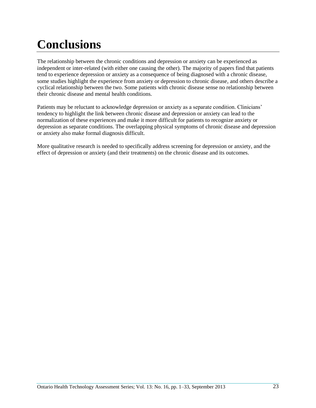# **Conclusions**

The relationship between the chronic conditions and depression or anxiety can be experienced as independent or inter-related (with either one causing the other). The majority of papers find that patients tend to experience depression or anxiety as a consequence of being diagnosed with a chronic disease, some studies highlight the experience from anxiety or depression to chronic disease, and others describe a cyclical relationship between the two. Some patients with chronic disease sense no relationship between their chronic disease and mental health conditions.

Patients may be reluctant to acknowledge depression or anxiety as a separate condition. Clinicians' tendency to highlight the link between chronic disease and depression or anxiety can lead to the normalization of these experiences and make it more difficult for patients to recognize anxiety or depression as separate conditions. The overlapping physical symptoms of chronic disease and depression or anxiety also make formal diagnosis difficult.

More qualitative research is needed to specifically address screening for depression or anxiety, and the effect of depression or anxiety (and their treatments) on the chronic disease and its outcomes.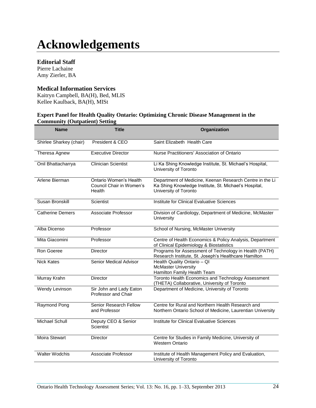# **Acknowledgements**

### **Editorial Staff**

Pierre Lachaine Amy Zierler, BA

### **Medical Information Services**

Kaitryn Campbell, BA(H), Bed, MLIS Kellee Kaulback, BA(H), MISt

#### **Expert Panel for Health Quality Ontario: Optimizing Chronic Disease Management in the Community (Outpatient) Setting**

| <b>Name</b>             | Title                                                        | Organization                                                                                                                               |
|-------------------------|--------------------------------------------------------------|--------------------------------------------------------------------------------------------------------------------------------------------|
| Shirlee Sharkey (chair) | President & CEO                                              | Saint Elizabeth Health Care                                                                                                                |
| Theresa Agnew           | <b>Executive Director</b>                                    | Nurse Practitioners' Association of Ontario                                                                                                |
| Onil Bhattacharrya      | <b>Clinician Scientist</b>                                   | Li Ka Shing Knowledge Institute, St. Michael's Hospital,<br>University of Toronto                                                          |
| Arlene Bierman          | Ontario Women's Health<br>Council Chair in Women's<br>Health | Department of Medicine, Keenan Research Centre in the Li<br>Ka Shing Knowledge Institute, St. Michael's Hospital,<br>University of Toronto |
| Susan Bronskill         | Scientist                                                    | <b>Institute for Clinical Evaluative Sciences</b>                                                                                          |
| <b>Catherine Demers</b> | Associate Professor                                          | Division of Cardiology, Department of Medicine, McMaster<br>University                                                                     |
| Alba Dicenso            | Professor                                                    | School of Nursing, McMaster University                                                                                                     |
| Mita Giacomini          | Professor                                                    | Centre of Health Economics & Policy Analysis, Department<br>of Clinical Epidemiology & Biostatistics                                       |
| Ron Goeree              | <b>Director</b>                                              | Programs for Assessment of Technology in Health (PATH)<br>Research Institute, St. Joseph's Healthcare Hamilton                             |
| <b>Nick Kates</b>       | Senior Medical Advisor                                       | Health Quality Ontario - QI<br><b>McMaster University</b><br>Hamilton Family Health Team                                                   |
| Murray Krahn            | <b>Director</b>                                              | Toronto Health Economics and Technology Assessment<br>(THETA) Collaborative, University of Toronto                                         |
| Wendy Levinson          | Sir John and Lady Eaton<br><b>Professor and Chair</b>        | Department of Medicine, University of Toronto                                                                                              |
| Raymond Pong            | Senior Research Fellow<br>and Professor                      | Centre for Rural and Northern Health Research and<br>Northern Ontario School of Medicine, Laurentian University                            |
| <b>Michael Schull</b>   | Deputy CEO & Senior<br>Scientist                             | Institute for Clinical Evaluative Sciences                                                                                                 |
| <b>Moira Stewart</b>    | <b>Director</b>                                              | Centre for Studies in Family Medicine, University of<br><b>Western Ontario</b>                                                             |
| <b>Walter Wodchis</b>   | Associate Professor                                          | Institute of Health Management Policy and Evaluation,<br>University of Toronto                                                             |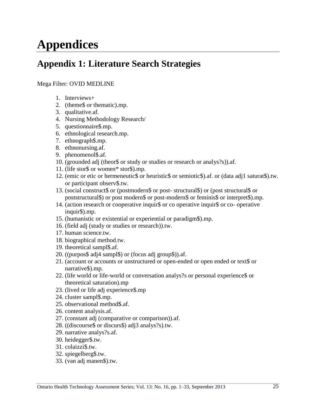# **Appendices**

## **Appendix 1: Literature Search Strategies**

### Mega Filter: OVID MEDLINE

- 1. Interviews+
- 2. (theme\$ or thematic).mp.
- 3. qualitative.af.
- 4. Nursing Methodology Research/
- 5. questionnaire\$.mp.
- 6. ethnological research.mp.
- 7. ethnograph\$.mp.
- 8. ethnonursing.af.
- 9. phenomenol\$.af.
- 10. (grounded adj (theor\$ or study or studies or research or analys?s)).af.
- 11. (life stor\$ or women\* stor\$).mp.
- 12. (emic or etic or hermeneutic\$ or heuristic\$ or semiotic\$).af. or (data adj1 saturat\$).tw. or participant observ\$.tw.
- 13. (social construct\$ or (postmodern\$ or post- structural\$) or (post structural\$ or poststructural\$) or post modern\$ or post-modern\$ or feminis\$ or interpret\$).mp.
- 14. (action research or cooperative inquir\$ or co operative inquir\$ or co- operative inquir\$).mp.
- 15. (humanistic or existential or experiential or paradigm\$).mp.
- 16. (field adj (study or studies or research)).tw.
- 17. human science.tw.
- 18. biographical method.tw.
- 19. theoretical sampl\$.af.
- 20. ((purpos\$ adj4 sampl\$) or (focus adj group\$)).af.
- 21. (account or accounts or unstructured or open-ended or open ended or text\$ or narrative\$).mp.
- 22. (life world or life-world or conversation analys?s or personal experience\$ or theoretical saturation).mp
- 23. (lived or life adj experience\$.mp
- 24. cluster sampl\$.mp.
- 25. observational method\$.af.
- 26. content analysis.af.
- 27. (constant adj (comparative or comparison)).af.
- 28. ((discourse\$ or discurs\$) adj3 analys?s).tw.
- 29. narrative analys?s.af.
- 30. heidegger\$.tw.
- 31. colaizzi\$.tw.
- 32. spiegelberg\$.tw.
- 33. (van adj manen\$).tw.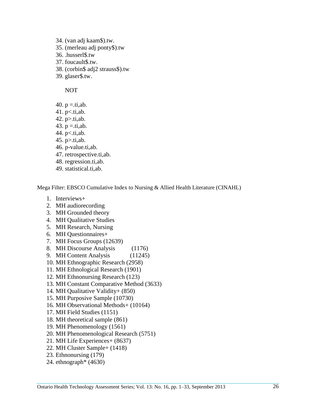- 34. (van adj kaam\$).tw. 35. (merleau adj ponty\$).tw 36. .husserl\$.tw 37. foucault\$.tw. 38. (corbin\$ adj2 strauss\$).tw
- 39. glaser\$.tw.

NOT

- 40.  $p = \text{.ti}, ab$ .
- 41.  $p$   $lt$ .ti, ab.
- 42. p>.ti,ab.
- 43.  $p = \text{.ti}, ab$ .
- 44. p<.ti,ab.
- 45. p>.ti,ab.
- 46. p-value.ti,ab.
- 47. retrospective.ti,ab.
- 48. regression.ti,ab.
- 49. statistical.ti,ab.

Mega Filter: EBSCO Cumulative Index to Nursing & Allied Health Literature (CINAHL)

- 1. Interviews+
- 2. MH audiorecording
- 3. MH Grounded theory
- 4. MH Qualitative Studies
- 5. MH Research, Nursing
- 6. MH Questionnaires+
- 7. MH Focus Groups (12639)
- 8. MH Discourse Analysis (1176)
- 9. MH Content Analysis (11245)
- 10. MH Ethnographic Research (2958)
- 11. MH Ethnological Research (1901)
- 12. MH Ethnonursing Research (123)
- 13. MH Constant Comparative Method (3633)
- 14. MH Qualitative Validity+ (850)
- 15. MH Purposive Sample (10730)
- 16. MH Observational Methods+ (10164)
- 17. MH Field Studies (1151)
- 18. MH theoretical sample (861)
- 19. MH Phenomenology (1561)
- 20. MH Phenomenological Research (5751)
- 21. MH Life Experiences+ (8637)
- 22. MH Cluster Sample+ (1418)
- 23. Ethnonursing (179)
- 24. ethnograph\* (4630)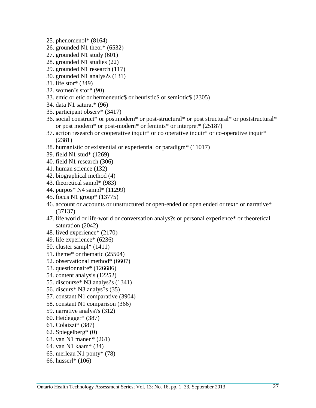- 25. phenomenol\* (8164)
- 26. grounded N1 theor\* (6532)
- 27. grounded N1 study (601)
- 28. grounded N1 studies (22)
- 29. grounded N1 research (117)
- 30. grounded N1 analys?s (131)
- 31. life stor\* (349)
- 32. women's stor\* (90)
- 33. emic or etic or hermeneutic\$ or heuristic\$ or semiotic\$ (2305)
- 34. data N1 saturat\* (96)
- 35. participant observ\* (3417)
- 36. social construct\* or postmodern\* or post-structural\* or post structural\* or poststructural\* or post modern\* or post-modern\* or feminis\* or interpret\* (25187)
- 37. action research or cooperative inquir\* or co operative inquir\* or co-operative inquir\* (2381)
- 38. humanistic or existential or experiential or paradigm\* (11017)
- 39. field N1 stud\* (1269)
- 40. field N1 research (306)
- 41. human science (132)
- 42. biographical method (4)
- 43. theoretical sampl\* (983)
- 44. purpos\* N4 sampl\* (11299)
- 45. focus N1 group\* (13775)
- 46. account or accounts or unstructured or open-ended or open ended or text\* or narrative\* (37137)
- 47. life world or life-world or conversation analys?s or personal experience\* or theoretical saturation (2042)
- 48. lived experience\* (2170)
- 49. life experience\* (6236)
- 50. cluster sampl\* (1411)
- 51. theme\* or thematic (25504)
- 52. observational method\* (6607)
- 53. questionnaire\* (126686)
- 54. content analysis (12252)
- 55. discourse\* N3 analys?s (1341)
- 56. discurs\* N3 analys?s (35)
- 57. constant N1 comparative (3904)
- 58. constant N1 comparison (366)
- 59. narrative analys?s (312)
- 60. Heidegger\* (387)
- 61. Colaizzi\* (387)
- 62. Spiegelberg\* (0)
- 63. van N1 manen\* (261)
- 64. van N1 kaam\* (34)
- 65. merleau N1 ponty\* (78)
- 66. husserl\* (106)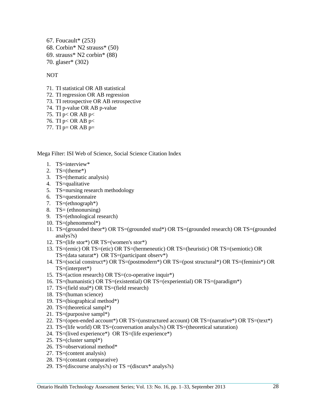67. Foucault\* (253) 68. Corbin\* N2 strauss\* (50) 69. strauss\* N2 corbin\* (88) 70. glaser\* (302)

NOT

- 71. TI statistical OR AB statistical
- 72. TI regression OR AB regression
- 73. TI retrospective OR AB retrospective
- 74. TI p-value OR AB p-value
- 75. TI p< OR AB p<
- 76. TI p< OR AB p<
- 77. TI  $p=$  OR AB  $p=$

Mega Filter: ISI Web of Science, Social Science Citation Index

- 1. TS=interview\*
- 2. TS=(theme\*)
- 3. TS=(thematic analysis)
- 4. TS=qualitative
- 5. TS=nursing research methodology
- 6. TS=questionnaire
- 7. TS=(ethnograph\*)
- 8. TS= (ethnonursing)
- 9. TS=(ethnological research)
- 10. TS=(phenomenol\*)
- 11. TS=(grounded theor\*) OR TS=(grounded stud\*) OR TS=(grounded research) OR TS=(grounded analys?s)
- 12. TS=(life stor\*) OR TS=(women's stor\*)
- 13. TS=(emic) OR TS=(etic) OR TS=(hermeneutic) OR TS=(heuristic) OR TS=(semiotic) OR  $TS = (data saturat*)$  OR  $TS = (participant observer*)$
- 14. TS=(social construct\*) OR TS=(postmodern\*) OR TS=(post structural\*) OR TS=(feminis\*) OR TS=(interpret\*)
- 15. TS=(action research) OR TS=(co-operative inquir\*)
- 16. TS=(humanistic) OR TS=(existential) OR TS=(experiential) OR TS=(paradigm\*)
- 17. TS=(field stud\*) OR TS=(field research)
- 18. TS=(human science)
- 19. TS=(biographical method\*)
- 20. TS=(theoretical sampl\*)
- 21. TS=(purposive sampl\*)
- 22. TS=(open-ended account\*) OR TS=(unstructured account) OR TS=(narrative\*) OR TS=(text\*)
- 23. TS=(life world) OR TS=(conversation analys?s) OR TS=(theoretical saturation)
- 24. TS=(lived experience\*) OR TS=(life experience\*)
- 25. TS=(cluster sampl\*)
- 26. TS=observational method\*
- 27. TS=(content analysis)
- 28. TS=(constant comparative)
- 29. TS=(discourse analys?s) or TS =(discurs\* analys?s)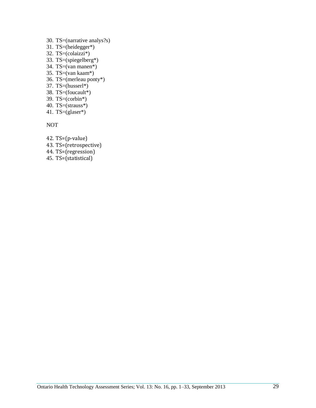- 30. TS=(narrative analys?s)
- 31. TS=(heidegger\*)
- 32. TS=(colaizzi\*)
- 33. TS=(spiegelberg\*)
- 34. TS= $\overrightarrow{van}$  manen\*)
- 35. TS=(van kaam\*)
- 36. TS=(merleau ponty\*)
- 37. TS= $(husserl*)$
- 38. TS=(foucault\*)
- 39. TS=(corbin\*)
- 40. TS=(strauss\*)
- 41. TS=(glaser\*)

NOT

- 42. TS=(p-value)
- 43. TS=(retrospective)
- 44. TS=(regression)
- 45. TS=(statistical)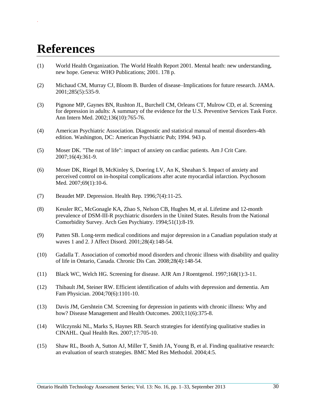# **References**

*.*

- <span id="page-29-0"></span>(1) World Health Organization. The World Health Report 2001. Mental heath: new understanding, new hope. Geneva: WHO Publications; 2001. 178 p.
- <span id="page-29-1"></span>(2) Michaud CM, Murray CJ, Bloom B. Burden of disease–Implications for future research. JAMA. 2001;285(5):535-9.
- <span id="page-29-2"></span>(3) Pignone MP, Gaynes BN, Rushton JL, Burchell CM, Orleans CT, Mulrow CD, et al. Screening for depression in adults: A summary of the evidence for the U.S. Preventive Services Task Force. Ann Intern Med. 2002;136(10):765-76.
- <span id="page-29-3"></span>(4) American Psychiatric Association. Diagnostic and statistical manual of mental disorders-4th edition. Washington, DC: American Psychiatric Pub; 1994. 943 p.
- <span id="page-29-4"></span>(5) Moser DK. "The rust of life": impact of anxiety on cardiac patients. Am J Crit Care. 2007;16(4):361-9.
- <span id="page-29-5"></span>(6) Moser DK, Riegel B, McKinley S, Doering LV, An K, Sheahan S. Impact of anxiety and perceived control on in-hospital complications after acute myocardial infarction. Psychosom Med. 2007;69(1):10-6.
- <span id="page-29-6"></span>(7) Beaudet MP. Depression. Health Rep. 1996;7(4):11-25.
- <span id="page-29-7"></span>(8) Kessler RC, McGonagle KA, Zhao S, Nelson CB, Hughes M, et al. Lifetime and 12-month prevalence of DSM-III-R psychiatric disorders in the United States. Results from the National Comorbidity Survey. Arch Gen Psychiatry. 1994;51(1):8-19.
- <span id="page-29-8"></span>(9) Patten SB. Long-term medical conditions and major depression in a Canadian population study at waves 1 and 2. J Affect Disord. 2001;28(4):148-54.
- <span id="page-29-9"></span>(10) Gadalla T. Association of comorbid mood disorders and chronic illness with disability and quality of life in Ontario, Canada. Chronic Dis Can. 2008;28(4):148-54.
- <span id="page-29-10"></span>(11) Black WC, Welch HG. Screening for disease. AJR Am J Roentgenol. 1997;168(1):3-11.
- <span id="page-29-11"></span>(12) Thibault JM, Steiner RW. Efficient identification of adults with depression and dementia. Am Fam Physician. 2004;70(6):1101-10.
- <span id="page-29-12"></span>(13) Davis JM, Gershtein CM. Screening for depression in patients with chronic illness: Why and how? Disease Management and Health Outcomes. 2003;11(6):375-8.
- <span id="page-29-13"></span>(14) Wilczynski NL, Marks S, Haynes RB. Search strategies for identifying qualitative studies in CINAHL. Qual Health Res. 2007;17:705-10.
- (15) Shaw RL, Booth A, Sutton AJ, Miller T, Smith JA, Young B, et al. Finding qualitative research: an evaluation of search strategies. BMC Med Res Methodol. 2004;4:5.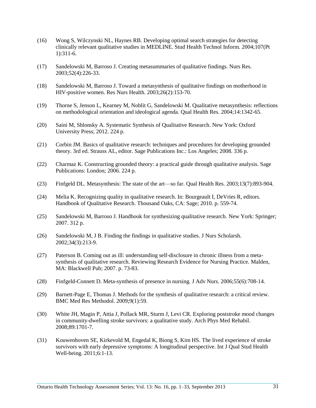- (16) Wong S, Wilczynski NL, Haynes RB. Developing optimal search strategies for detecting clinically relevant qualitative studies in MEDLINE. Stud Health Technol Inform. 2004;107(Pt 1):311-6.
- <span id="page-30-0"></span>(17) Sandelowski M, Barroso J. Creating metasummaries of qualitative findings. Nurs Res. 2003;52(4):226-33.
- (18) Sandelowski M, Barroso J. Toward a metasynthesis of qualitative findings on motherhood in HIV-positive women. Res Nurs Health. 2003;26(2):153-70.
- (19) Thorne S, Jenson L, Kearney M, Noblit G, Sandelowski M. Qualitative metasynthesis: reflections on methodological orientation and ideological agenda. Qual Health Res. 2004;14:1342-65.
- <span id="page-30-1"></span>(20) Saini M, Shlonsky A. Systematic Synthesis of Qualitative Research. New York: Oxford University Press; 2012. 224 p.
- <span id="page-30-2"></span>(21) Corbin JM. Basics of qualitative research: techniques and procedures for developing grounded theory. 3rd ed. Strauss AL, editor. Sage Publications Inc.: Los Angeles; 2008. 336 p.
- <span id="page-30-3"></span>(22) Charmaz K. Constructing grounded theory: a practical guide through qualitative analysis. Sage Publications: London; 2006. 224 p.
- <span id="page-30-4"></span>(23) Finfgeld DL. Metasynthesis: The state of the art—so far. Qual Health Res. 2003;13(7):893-904.
- <span id="page-30-5"></span>(24) Melia K. Recognizing quality in qualitative research. In: Bourgeault I, DeVries R, editors. Handbook of Qualitative Research. Thousand Oaks, CA: Sage; 2010. p. 559-74.
- <span id="page-30-6"></span>(25) Sandelowski M, Barroso J. Handbook for synthesizing qualitative research. New York: Springer; 2007. 312 p.
- <span id="page-30-7"></span>(26) Sandelowski M, J B. Finding the findings in qualitative studies. J Nurs Scholarsh. 2002;34(3):213-9.
- <span id="page-30-8"></span>(27) Paterson B. Coming out as ill: understanding self-disclosure in chronic illness from a metasynthesis of qualitative research. Reviewing Research Evidence for Nursing Practice. Malden, MA: Blackwell Pub; 2007. p. 73-83.
- (28) Finfgeld-Connett D. Meta-synthesis of presence in nursing. J Adv Nurs. 2006;55(6):708-14.
- (29) Barnett-Page E, Thomas J. Methods for the synthesis of qualitative research: a critical review. BMC Med Res Methodol. 2009;9(1):59.
- <span id="page-30-9"></span>(30) White JH, Magin P, Attia J, Pollack MR, Sturm J, Levi CR. Exploring poststroke mood changes in community-dwelling stroke survivors: a qualitative study. Arch Phys Med Rehabil. 2008;89:1701-7.
- <span id="page-30-10"></span>(31) Kouwenhoven SE, Kirkevold M, Engedal K, Biong S, Kim HS. The lived experience of stroke survivors with early depressive symptoms: A longitudinal perspective. Int J Qual Stud Health Well-being. 2011;6:1-13.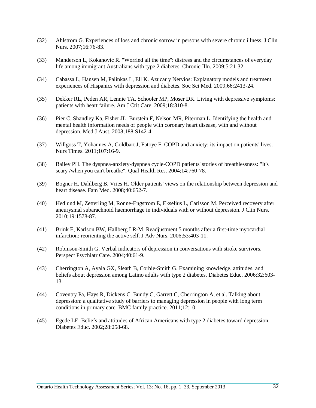- <span id="page-31-4"></span>(32) Ahlström G. Experiences of loss and chronic sorrow in persons with severe chronic illness. J Clin Nurs. 2007;16:76-83.
- <span id="page-31-5"></span>(33) Manderson L, Kokanovic R. "Worried all the time'': distress and the circumstances of everyday life among immigrant Australians with type 2 diabetes. Chronic Illn. 2009;5:21-32.
- <span id="page-31-9"></span>(34) Cabassa L, Hansen M, Palinkas L, Ell K. Azucar y Nervios: Explanatory models and treatment experiences of Hispanics with depression and diabetes. Soc Sci Med. 2009;66:2413-24.
- <span id="page-31-6"></span>(35) Dekker RL, Peden AR, Lennie TA, Schooler MP, Moser DK. Living with depressive symptoms: patients with heart failure. Am J Crit Care. 2009;18:310-8.
- <span id="page-31-3"></span>(36) Pier C, Shandley Ka, Fisher JL, Burstein F, Nelson MR, Piterman L. Identifying the health and mental health information needs of people with coronary heart disease, with and without depression. Med J Aust. 2008;188:S142-4.
- <span id="page-31-0"></span>(37) Willgoss T, Yohannes A, Goldbart J, Fatoye F. COPD and anxiety: its impact on patients' lives. Nurs Times. 2011;107:16-9.
- <span id="page-31-7"></span>(38) Bailey PH. The dyspnea-anxiety-dyspnea cycle-COPD patients' stories of breathlessness: "It's scary /when you can't breathe". Qual Health Res. 2004;14:760-78.
- <span id="page-31-1"></span>(39) Bogner H, Dahlberg B, Vries H. Older patients' views on the relationship between depression and heart disease. Fam Med. 2008;40:652-7.
- <span id="page-31-2"></span>(40) Hedlund M, Zetterling M, Ronne-Engstrom E, Ekselius L, Carlsson M. Perceived recovery after aneurysmal subarachnoid haemorrhage in individuals with or without depression. J Clin Nurs. 2010;19:1578-87.
- (41) Brink E, Karlson BW, Hallberg LR-M. Readjustment 5 months after a first-time myocardial infarction: reorienting the active self. J Adv Nurs. 2006;53:403-11.
- (42) Robinson-Smith G. Verbal indicators of depression in conversations with stroke survivors. Perspect Psychiatr Care. 2004;40:61-9.
- <span id="page-31-8"></span>(43) Cherrington A, Ayala GX, Sleath B, Corbie-Smith G. Examining knowledge, attitudes, and beliefs about depression among Latino adults with type 2 diabetes. Diabetes Educ. 2006;32:603- 13.
- <span id="page-31-10"></span>(44) Coventry Pa, Hays R, Dickens C, Bundy C, Garrett C, Cherrington A, et al. Talking about depression: a qualitative study of barriers to managing depression in people with long term conditions in primary care. BMC family practice. 2011;12:10.
- <span id="page-31-11"></span>(45) Egede LE. Beliefs and attitudes of African Americans with type 2 diabetes toward depression. Diabetes Educ. 2002;28:258-68.